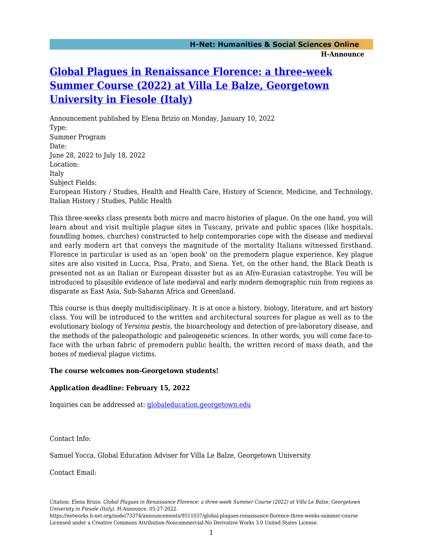## **[Global Plagues in Renaissance Florence: a three-week](https://networks.h-net.org/node/73374/announcements/9511037/global-plagues-renaissance-florence-three-weeks-summer-course) [Summer Course \(2022\) at Villa Le Balze, Georgetown](https://networks.h-net.org/node/73374/announcements/9511037/global-plagues-renaissance-florence-three-weeks-summer-course) [University in Fiesole \(Italy\)](https://networks.h-net.org/node/73374/announcements/9511037/global-plagues-renaissance-florence-three-weeks-summer-course)**

Announcement published by Elena Brizio on Monday, January 10, 2022 Type: Summer Program Date: June 28, 2022 to July 18, 2022 Location: Italy Subject Fields: European History / Studies, Health and Health Care, History of Science, Medicine, and Technology, Italian History / Studies, Public Health

This three-weeks class presents both micro and macro histories of plague. On the one hand, you will learn about and visit multiple plague sites in Tuscany, private and public spaces (like hospitals, foundling homes, churches) constructed to help contemporaries cope with the disease and medieval and early modern art that conveys the magnitude of the mortality Italians witnessed firsthand. Florence in particular is used as an 'open book' on the premodern plague experience. Key plague sites are also visited in Lucca, Pisa, Prato, and Siena. Yet, on the other hand, the Black Death is presented not as an Italian or European disaster but as an Afro-Eurasian catastrophe. You will be introduced to plausible evidence of late medieval and early modern demographic ruin from regions as disparate as East Asia, Sub-Saharan Africa and Greenland.

This course is thus deeply multidisciplinary. It is at once a history, biology, literature, and art history class. You will be introduced to the written and architectural sources for plague as well as to the evolutionary biology of *Yersinia pestis*, the bioarcheology and detection of pre-laboratory disease, and the methods of the paleopathologic and paleogenetic sciences. In other words, you will come face-toface with the urban fabric of premodern public health, the written record of mass death, and the bones of medieval plague victims.

## **The course welcomes non-Georgetown students!**

## **Application deadline: February 15, 2022**

Inquiries can be addressed at: [globaleducation.georgetown.edu](http://globaleducation.georgetown.edu/)

Contact Info:

Samuel Yocca, Global Education Adviser for Villa Le Balze, Georgetown University

Contact Email:

https://networks.h-net.org/node/73374/announcements/9511037/global-plagues-renaissance-florence-three-weeks-summer-course Licensed under a Creative Commons Attribution-Noncommercial-No Derivative Works 3.0 United States License.

Citation: Elena Brizio. *Global Plagues in Renaissance Florence: a three-week Summer Course (2022) at Villa Le Balze, Georgetown University in Fiesole (Italy)*. H-Announce. 05-27-2022.